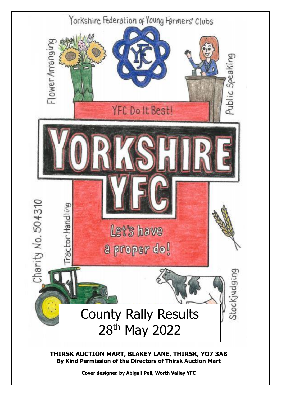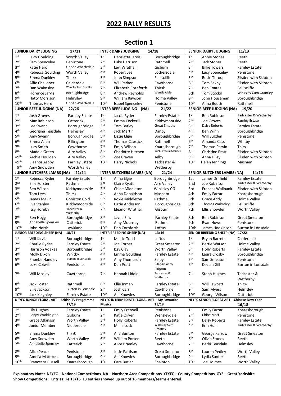#### **2022 RALLY RESULTS**

|                  | <b>JUNIOR DAIRY JUDGING</b>                    | 17/21                   |                          | <b>INTER DAIRY JUDGING</b>                   | 14/18                              |                          | <b>SENIOR DAIRY JUDGING</b>                | 11/13                   |
|------------------|------------------------------------------------|-------------------------|--------------------------|----------------------------------------------|------------------------------------|--------------------------|--------------------------------------------|-------------------------|
| 1 <sup>st</sup>  | Lucy Goulding                                  | <b>Worth Valley</b>     | 1 <sup>st</sup>          | Henrietta Jarvis                             | Boroughbridge                      | 1 <sup>st</sup>          | <b>Annie Stones</b>                        | Reeth                   |
| 2 <sub>nd</sub>  | Sam Spenceley                                  | Penistone               | 2 <sub>nd</sub>          | Luke Harrison                                | Rathmell                           | 2 <sub>nd</sub>          | <b>Jack Stones</b>                         | Reeth                   |
| 3 <sup>rd</sup>  | Katie Herd                                     | <b>Upper Wharfedale</b> | 3 <sup>rd</sup>          | Levi Wrathall                                | Gisburn                            | 3 <sup>rd</sup>          | <b>Billie Towers</b>                       | <b>Farnley Estate</b>   |
| 4 <sup>th</sup>  | Rebecca Goulding                               | Worth Valley            | 4 <sup>th</sup>          | Robert Lee                                   | Lothersdale                        | 4 <sup>th</sup>          | Lucy Spenceley                             | Penistone               |
| 5 <sup>th</sup>  | Emma Dunkley                                   | <b>Thirsk</b>           | 5 <sup>th</sup>          | John Simpson                                 | Felliscliffe                       | 5 <sup>th</sup>          | Rosie Throup                               | Silsden with Skipton    |
| 6 <sup>th</sup>  | Alfie Challoner                                | Calderdale              | 6 <sup>th</sup>          | <b>Will Parker</b>                           | Cawthorne                          | 6 <sup>th</sup>          | Tom Saxby                                  | Silsden with Skipton    |
| 7 <sup>th</sup>  | Dan Walmsley                                   | Winksley Cum Grantley   | 7 <sup>th</sup>          | Elizabeth Cornforth                          | Thirsk                             | 7 <sup>th</sup>          | <b>Ben Coates</b>                          | Felliscliffe            |
| 8 <sup>th</sup>  | Florence Jarvis                                | Boroughbridge           | 8 <sup>th</sup>          | Andrew Reynolds                              | Wensleydale                        | 8th                      | <b>Tom Stockil</b>                         | Winksley Cum Grantley   |
| <b>9th</b>       | <b>Hatty Morrison</b>                          | Helmslev                | <b>9th</b>               | William Rawson                               | <b>Holme Valley</b>                | <b>9th</b>               | John Houseman                              | Boroughbridge           |
| $10^{\text{th}}$ | <b>Thomas Herd</b>                             | <b>Upper Wharfedale</b> | 10 <sup>th</sup>         | <b>Isabel Spenceley</b>                      | Penistone                          | 10 <sup>th</sup>         | Anna Booth                                 | Rathmell                |
|                  | <b>JUNIOR BEEF JUDGING (NA)</b>                | 22/26                   |                          | <b>INTER BEEF JUDGING</b><br>(NA)            | 21/22                              |                          | <b>SENIOR BEEF JUDGING (NA)</b>            | 19/20                   |
| 1 <sup>st</sup>  | Josh Groves                                    | <b>Farnley Estate</b>   | 1 <sup>st</sup>          | Jacob Ryder                                  | <b>Farnley Estate</b>              | 1 <sup>st</sup>          | Ben Robinson                               | Tadcaster & Wetherby    |
| 2 <sub>nd</sub>  | Max Robinson                                   | Catterick               | 2 <sub>nd</sub>          | Emma Cockerill                               | Kirkbymoorside                     | 2 <sub>nd</sub>          | Joe Groves                                 | <b>Farnley Estate</b>   |
| 3 <sup>rd</sup>  |                                                |                         | 3 <sup>rd</sup>          |                                              | <b>Great Smeaton</b>               | 3 <sup>rd</sup>          | Daisy Roberts                              |                         |
| 4 <sup>th</sup>  | Lee Swann                                      | Boroughbridge           | 4 <sup>th</sup>          | Tom Barley                                   |                                    | 4 <sup>th</sup>          |                                            | <b>Farnley Estate</b>   |
|                  | Georgina Teasdale                              | Helmsley                |                          | Jack Martin                                  | Danby                              |                          | <b>Ben Winn</b>                            | Boroughbridge           |
| 5 <sup>th</sup>  | Amy Swann                                      | Boroughbridge           | 5 <sup>th</sup>          | Lizzie Elgie                                 | Boroughbridge                      | 5 <sup>th</sup>          | Will Sugden                                | Penistone               |
| 6 <sup>th</sup>  | Emma Allen                                     | Rillington              | 6 <sup>th</sup>          | <b>Thomas Capstick</b>                       | Rathmell                           | 6 <sup>th</sup>          | Amanda Cass                                | Whitby                  |
| 7 <sup>th</sup>  | Lucy Smith                                     | Cawthorne               | 7 <sup>th</sup>          | <b>Emily Wilson</b>                          | Knaresborough                      | 7 <sup>th</sup>          | <b>Thomas Parvin</b>                       | Thirsk                  |
| 8 <sup>th</sup>  | Maddie Green                                   | Aire Valley             | 8 <sup>th</sup>          | Charlotte Hitchen                            | Winksley Cum Grantley              | 8 <sup>th</sup>          | <b>Christine Pratt</b>                     | Silsden with Skipton    |
| $= 9th$          | Archie Houlden                                 | Aire Valley             | <b>gth</b>               | Zoe Craven                                   | selby                              | <b>9th</b>               | Anna Hiley                                 | Silsden with Skipton    |
| $=9th$           | Eleanor Ashby                                  | <b>Farnley Estate</b>   | 10 <sup>th</sup>         | <b>Harry Nichols</b>                         | Tadcaster &                        | 10 <sup>th</sup>         | <b>Helen Jennings</b>                      | Masham                  |
| $=9th$           | Amy Snowden                                    | <b>Worth Valley</b>     |                          |                                              | Wetherby                           |                          |                                            |                         |
|                  | <b>JUNIOR BUTCHERS LAMBS (NA)</b>              | 22/24                   |                          | <b>INTER BUTCHERS LAMBS (NA)</b>             | 21/24                              |                          | <b>SENIOR BUTCHERS LAMBS (NA)</b>          | 14/16                   |
| 1 <sup>st</sup>  | Rebecca Ryder                                  | <b>Farnley Estate</b>   | 1 <sup>st</sup>          | Anna Elgie                                   | Boroughbridge                      | 1st                      | James Driffield                            | <b>Farnley Estate</b>   |
| 2 <sup>nd</sup>  | <b>Ellie Forster</b>                           | Rathmell                | 2 <sub>nd</sub>          | Claire Ryatt                                 | Aire Valley                        | 2 <sub>nd</sub>          | Joe Robinson                               | Tadcaster & Wetherby    |
| 3 <sup>rd</sup>  | Ben Wilson                                     | Kirkbymoorside          | 3 <sup>rd</sup>          | Chloe Middleton                              | Winksley CG                        | 3rd                      | Frances Wallbank                           | Silsden with Skipton    |
| 4 <sup>th</sup>  | <b>Tom Lees</b>                                | Thirsk                  | 4 <sup>th</sup>          | Anna Donaldson                               | Masham                             | 4th                      | <b>Emily Farrar</b>                        | Knaresborough           |
| 5 <sup>th</sup>  | James Mellin                                   | <b>Coniston Cold</b>    | 5th                      | Roxie Middleton                              | Rathmell                           | 5th                      | Grace Addy                                 | Holme Valley            |
| 6 <sup>th</sup>  | Eve Stanley                                    | Kirkbymoorside          | 6 <sup>th</sup>          | Lizzie Anderson                              | Boroughbridge                      | 6th                      | Thomas Walmsley                            | Felliscliffe            |
| 7 <sup>th</sup>  | Issy Hornby                                    | Tadcaster &<br>Wetherby | 7 <sup>th</sup>          | Eleanor Wrathall                             | Gisburn                            | 7th                      | Ellis Snowden                              | <b>Worth Valley</b>     |
| 8 <sup>th</sup>  | <b>Ben Hogg</b>                                | Boroughbridge           | 8 <sup>th</sup>          | Jayne Ellis                                  | <b>Farnley Estate</b>              | 8th                      | Ben Robinson                               | <b>Great Smeaton</b>    |
| <b>gth</b>       | Annabelle Spensley                             | Catterick               | <b>g</b> th              | Amy Mounsey                                  | Rathmell                           | 9th                      | Ryan Howe                                  | Penistone               |
| 10 <sup>th</sup> | John North                                     | Lawkland                | 10 <sup>th</sup>         | Dan Cornforth                                | Loftus                             | 10th                     | James Hodkinson                            | Burton in Lonsdale      |
|                  | JUNIOR BREEDING SHEEP (NA)                     | 18/21                   |                          | <b>INTER BREEDING SHEEP (NA)</b>             | 13/16                              |                          | SENIOR BREEDING SHEEP (NA)                 | 17/22                   |
| 1 <sup>st</sup>  | Will Jarvis                                    | Boroughbridge           | 1 <sup>st</sup>          | <b>Maisie Todd</b>                           | Loftus                             | 1 <sup>st</sup>          | <b>Bryan Barrett</b>                       | Calderdale              |
| 2 <sup>nd</sup>  | Charlie Ryder                                  | <b>Farnley Estate</b>   | 2 <sub>nd</sub>          | Joe Corner                                   | <b>Great Smeaton</b>               | 2 <sup>nd</sup>          | <b>Bertie Watson</b>                       | Holme Valley            |
| 3 <sub>rd</sub>  | <b>Harrison Voakes</b>                         | Boroughbridge           | 3 <sup>rd</sup>          | Izzy Clay                                    | Worth Valley                       | 3 <sup>rd</sup>          | <b>Holly Roberts</b>                       | <b>Farnley Estate</b>   |
| 4 <sup>th</sup>  | Molly Dixon                                    | Whitby                  | 4 <sup>th</sup>          | <b>Emma Goulding</b>                         | <b>Farnley Estate</b>              | 4 <sup>th</sup>          | Laura Crosby                               | Boroughbridge           |
| 5 <sup>th</sup>  | Phoebe Handley                                 | Burton in Lonsdale      | $\mathsf{5}^\mathsf{th}$ | Amy Thompson                                 | Selby                              | $\mathsf{5}^\mathsf{th}$ | Sam Smeaton                                | Penistone               |
| 6 <sup>th</sup>  | Luke Colwill                                   | Penistone               | 6 <sup>th</sup>          | Dan Pratt                                    | Silsden with                       | 6 <sup>th</sup>          | Declan Gill                                | Burton in Lonsdale      |
| 7 <sup>th</sup>  | <b>Will Mosley</b>                             | Cawthorne               | 7 <sup>th</sup>          | Hannah Liddle                                | Skipton<br>Tadcaster &<br>Wetherby | 7 <sup>th</sup>          | Steph Hughes                               | Tadcaster &<br>Wetherby |
| 8 <sup>th</sup>  | Jack Foster                                    | Rathmell                | 8 <sup>th</sup>          | Ellie Inman                                  | <b>Farnley Estate</b>              | 8 <sup>th</sup>          | Will Fawcett                               | Thirsk                  |
| <b>9th</b>       | Ellie Jackson                                  | Burton in Lonsdale      | <b>9th</b>               | Josh Carr                                    | Cawthorne                          | <b>9th</b>               | Sam Myers                                  | Helmsley                |
| 10 <sup>th</sup> | Jack Keighley                                  | <b>Farnley Estate</b>   | 10 <sup>th</sup>         | Abi Knowles                                  | Boroughbridge                      | 10 <sup>th</sup>         | George Wilson                              | Catterick               |
|                  | NFYFC JUNIOR FLORAL ART - British TV Programme |                         |                          | NFYFC INTERMEDIATE FLORAL ART - My Favourite |                                    |                          | NFYFC SENIOR FLORAL ART - Chinese New Year |                         |
|                  |                                                | 17/19                   | Musical                  |                                              | 15/18                              |                          |                                            | 16/18                   |
| 1 <sup>st</sup>  | <b>Lily Hughes</b>                             | <b>Farnley Estate</b>   | 1 <sup>st</sup>          | <b>Emily Fretwell</b>                        | Penistone                          | 1 <sup>st</sup>          | <b>Emily Farrar</b>                        | Knaresborough           |
| 2 <sup>nd</sup>  | Poppy Waddington                               | Gisburn                 | 2 <sub>nd</sub>          | Katie Oliver                                 | Wensleydale                        | 2 <sup>nd</sup>          | Chloe Mott                                 | Penistone               |
| 3 <sub>rd</sub>  | Grace Atkinson                                 | Worth Valley            | 3 <sup>rd</sup>          | <b>Holly Roberts</b>                         | <b>Farnley Estate</b>              | 3 <sup>rd</sup>          | Daisy Roberts                              | <b>Farnley Estate</b>   |
| 4 <sup>th</sup>  | Junior Member                                  | Nidderdale              | 4 <sup>th</sup>          | Millie Lock                                  | Winksley Cum<br>Grantley           | 4 <sup>th</sup>          | Erin Hull                                  | Tadcaster & Wetherby    |
| 5 <sup>th</sup>  | Emma Dunkley                                   | Thirsk                  | 5 <sup>th</sup>          | Ana Bunton                                   | <b>Farnley Estate</b>              | 5 <sup>th</sup>          | George Farrow                              | <b>Great Smeaton</b>    |
| 6 <sup>th</sup>  | Amy Snowden                                    | <b>Worth Valley</b>     | 6 <sup>th</sup>          | <b>William Porter</b>                        | Reeth                              | 6 <sup>th</sup>          | Olivia Stones                              | Reeth                   |
| 7 <sup>th</sup>  | Annabelle Spensley                             | Catterick               | 7 <sup>th</sup>          | Alice Bramley                                | Cawthorne                          | 7 <sup>th</sup>          | Becki Teasdale                             | Helmsley                |
| 8 <sup>th</sup>  | Alice Peace                                    | Penistone               | 8 <sup>th</sup>          | Josie Pattison                               | <b>Great Smeaton</b>               | 8 <sup>th</sup>          | Lauren Pedley                              | <b>Worth Valley</b>     |
| gth              | Amelia Mattocks                                | Boroughbridge           | gth                      | Abi Knowles                                  | Boroughbridge                      | gth                      | Lydia Sunter                               | Reeth                   |
| 10 <sup>th</sup> | Francesca Russell                              | Knaresborough           | 10 <sup>th</sup>         | Cara Butler                                  | Snainton                           | 10 <sup>th</sup>         | Joe Holmes                                 | Worth Valley            |

### **Section 1**

**Explanatory Note: NFYFC – National Competitions NA – Northern Area Competitions YFYFC – County Competitions GYS – Great Yorkshire Show Competitions. Entries: ie 13/16 13 entries showed up out of 16 members/teams entered.**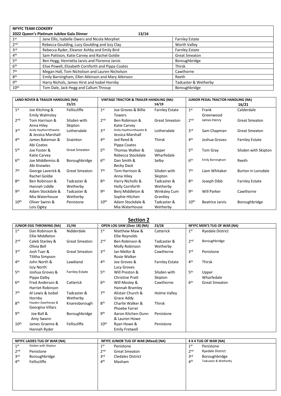| <b>NFYFC TEAM COOKERY</b> |                                                    |                       |
|---------------------------|----------------------------------------------------|-----------------------|
|                           | 2022 Queen's Platinum Jubilee Gala Dinner          | 13/16                 |
| 1 <sup>st</sup>           | Jane Ellis, Isabelle Owers and Nicola Morphet      | <b>Farnley Estate</b> |
| 2 <sub>nd</sub>           | Rebecca Goulding, Lucy Goulding and Izzy Clay      | <b>Worth Valley</b>   |
| 3 <sup>rd</sup>           | Rebecca Ryder, Eleanor Ashby and Emily Bird        | <b>Farnley Estate</b> |
| 4 <sup>th</sup>           | Sam Pattison, Katie Carvey and Rachel Goldie       | <b>Great Smeaton</b>  |
| 5 <sup>th</sup>           | Ben Hogg, Henrietta Jarvis and Florence Jarvis     | Boroughbridge         |
| 6 <sup>th</sup>           | Elise Powell, Elizabeth Cornforth and Pippa Coates | <b>Thirsk</b>         |
| 7 <sup>th</sup>           | Megan Hall, Tom Nicholson and Lauren Nicholson     | Cawthorne             |
| 8 <sup>th</sup>           | Emily Barningham, Ellen Atkinson and Mary Atkinson | Reeth                 |
| gth                       | Harry Nichols, James Hirst and Isobel Hornby       | Tadcaster & Wetherby  |
| 10 <sup>th</sup>          | Tom Dale, Jack Hogg and Callum Throup              | Boroughbridge         |

|                  | LAND ROVER & TRAILER HANDLING (NA) |                      |                  | <b>VINTAGE TRACTOR &amp; TRAILER HANDLING (NA)</b> |                       |                  | JUNIOR PEDAL TRACTOR HANDLING (NA) |                           |  |
|------------------|------------------------------------|----------------------|------------------|----------------------------------------------------|-----------------------|------------------|------------------------------------|---------------------------|--|
|                  |                                    | 15/21                |                  |                                                    | 14/19                 |                  |                                    | 16/21                     |  |
| 1 <sup>st</sup>  | Joe Kitching &                     | Felliscliffe         | 1 <sup>st</sup>  | Joe Groves & Billie                                | <b>Farnley Estate</b> | 1 <sup>st</sup>  | Frank                              | Calderdale                |  |
|                  | <b>Emily Walmsley</b>              |                      |                  | <b>Towers</b>                                      |                       |                  | Greenwood                          |                           |  |
| 2 <sub>nd</sub>  | Tom Harrison &                     | Silsden with         | 2 <sub>nd</sub>  | Ben Robinson &                                     | <b>Great Smeaton</b>  | 2 <sub>nd</sub>  | James Henry                        | <b>Great Smeaton</b>      |  |
|                  | Anna Hiley                         | Skipton              |                  | Katie Carvey                                       |                       |                  |                                    |                           |  |
| 3 <sub>rd</sub>  | Andy Haythornthwaite               | Lothersdale          | 3 <sup>rd</sup>  | Andy Haythornthwaite &                             | Lothersdale           | 3 <sup>rd</sup>  | Sam Chapman                        | <b>Great Smeaton</b>      |  |
|                  | & Jessica Marshall                 |                      |                  | Jessica Marshall                                   |                       |                  |                                    |                           |  |
| 4 <sup>th</sup>  | James Bateman &                    | Snainton             | 4 <sup>th</sup>  | Jed Reed &                                         | <b>Thirsk</b>         | 4 <sup>th</sup>  | Joshua Groves                      | <b>Farnley Estate</b>     |  |
|                  | Abi Coates                         |                      |                  | Pippa Coates                                       |                       |                  |                                    |                           |  |
| 5 <sup>th</sup>  | Joe Foster &                       | <b>Great Smeaton</b> | 5 <sup>th</sup>  | Thomas Walker &                                    | Upper                 | 5 <sup>th</sup>  | Tom Gray                           | Silsden with Skipton      |  |
|                  | Katie Carvey                       |                      |                  | Rebecca Stockdale                                  | Wharfedale            |                  |                                    |                           |  |
| 6 <sup>th</sup>  | Joe Middlemiss &                   | Boroughbridge        | 6 <sup>th</sup>  | Dan Smith &                                        | Selby                 | 6 <sup>th</sup>  | <b>Emily Barningham</b>            | Reeth                     |  |
|                  | Abi Knowles                        |                      |                  | Becky Dack                                         |                       |                  |                                    |                           |  |
| 7 <sup>th</sup>  | George Laverick &                  | <b>Great Smeaton</b> | 7 <sup>th</sup>  | Tom Harrison &                                     | Silsden with          | 7 <sup>th</sup>  | Liam Whitaker                      | <b>Burton in Lonsdale</b> |  |
|                  | Rachel Goldie                      |                      |                  | Anna Hiley                                         | Skipton               |                  |                                    |                           |  |
| <b>gth</b>       | Ben Robinson &                     | Tadcaster &          | <b>g</b> th      | Harry Nicholls &                                   | Tadcaster &           | 8 <sup>th</sup>  | Joseph Dibb                        | <b>Farnley Estate</b>     |  |
|                  | Hannah Liddle                      | Wetherby             |                  | Holly Cornforth                                    | Wetherby              |                  |                                    |                           |  |
| gth              | Adam Stockdale &                   | Tadcaster &          | gth              | Benj Middleton &                                   | Winksley Cum          | gth              | <b>Will Parker</b>                 | Cawthorne                 |  |
|                  | Mia Waterhouse                     | Wetherby             |                  | Sophie Hitchen                                     | Grantley              |                  |                                    |                           |  |
| 10 <sup>th</sup> | Oliver Swinn &                     | Penistone            | 10 <sup>th</sup> | Adam Stockdale &                                   | Tadcaster &           | 10 <sup>th</sup> | Beatrice Jarvis                    | Boroughbridge             |  |
|                  | Lois Ogley                         |                      |                  | Mia Waterhouse                                     | Wetherby              |                  |                                    |                           |  |

#### **Section 2**

|                  | <b>JUNIOR EGG THROWING (NA)</b> | 21/46                 |                  | OPEN LOG SAW (Over 18) (NA) | 23/28                 |                 | NFYFC MEN'S TUG OF WAR (NA) |
|------------------|---------------------------------|-----------------------|------------------|-----------------------------|-----------------------|-----------------|-----------------------------|
| 1 <sup>st</sup>  | Dan Robinson &                  | Nidderdale            | 1 <sup>st</sup>  | Matthew Maw &               | Catterick             | 1 <sup>st</sup> | <b>Ryedale District</b>     |
|                  | Ellie Middleton                 |                       |                  | Ellie Reynolds              |                       |                 |                             |
| 2 <sub>nd</sub>  | Caleb Stanley &                 | <b>Great Smeaton</b>  | 2 <sub>nd</sub>  | Ben Robinson &              | Tadcaster &           | 2 <sub>nd</sub> | Boroughbridge               |
|                  | Olivia Bell                     |                       |                  | Molly Robinson              | Wetherby              |                 |                             |
| 3 <sup>rd</sup>  | Josh Tuer &                     | <b>Great Smeaton</b>  | 3rd              | lan Mellor &                | Cawthorne             | 3 <sup>rd</sup> | Penistone                   |
|                  | Tilitha Simpson                 |                       |                  | Rosie Walker                |                       |                 |                             |
| 4 <sup>th</sup>  | John North &                    | Lawkland              | 4 <sup>th</sup>  | Joe Groves &                | <b>Farnley Estate</b> | 4 <sup>th</sup> | Thirsk                      |
|                  | Izzy North                      |                       |                  | Lucy Groves                 |                       |                 |                             |
| 5 <sup>th</sup>  | Joshua Groves &                 | <b>Farnley Estate</b> | 5 <sup>th</sup>  | Will Preston &              | Silsden with          | 5 <sup>th</sup> | Upper                       |
|                  | Pippa Dalby                     |                       |                  | <b>Christine Pratt</b>      | Skipton               |                 | Wharfedale                  |
| 6 <sup>th</sup>  | Fred Anderson &                 | Catterick             | 6 <sup>th</sup>  | Will Mosley &               | Cawthorne             | 6 <sup>th</sup> | <b>Great Smeaton</b>        |
|                  | Harriet Robinson                |                       |                  | Hannah Bramley              |                       |                 |                             |
| 7 <sup>th</sup>  | Al Lewis & Isobel               | Tadcaster &           | 7 <sup>th</sup>  | Alistair Church &           | Holme Valley          |                 |                             |
|                  | Hornby                          | Wetherby              |                  | Grace Addy                  |                       |                 |                             |
| <b>gth</b>       | Hayden Gawthorpe &              | Knaresborough         | <b>Rth</b>       | Charlie Walker &            | Thirsk                |                 |                             |
|                  | Georgina Villars                |                       |                  | Phoebe Farrer               |                       |                 |                             |
| gth              | Joe Ball &                      | Boroughbridge         | gth              | Aaron Kitchen-Dunn          | Penistone             |                 |                             |
|                  | Amy Swann                       |                       |                  | & Lauren Howe               |                       |                 |                             |
| 10 <sup>th</sup> | James Graeme &                  | Felliscliffe          | 10 <sup>th</sup> | Ryan Howe &                 | Penistone             |                 |                             |
|                  | Hannah Ryder                    |                       |                  | Emily Fretwell              |                       |                 |                             |

|                 | <b>NFYFC LADIES TUG OF WAR (NA)</b> |                 | NFYFC JUNIOR TUG OF WAR (Mixed) (NA) |                 | 4 X 4 TUG OF WAR (NA)   |
|-----------------|-------------------------------------|-----------------|--------------------------------------|-----------------|-------------------------|
| 1 <sup>st</sup> | Silsden with Skipton                | 1 <sup>st</sup> | Penistone                            | 1 <sup>st</sup> | Penistone               |
| 2 <sub>nd</sub> | Penistone                           | 2 <sub>nd</sub> | <b>Great Smeaton</b>                 | 2 <sub>nd</sub> | <b>Ryedale District</b> |
| 3 <sup>rd</sup> | Boroughbridge                       | 3 <sub>rd</sub> | <b>Cledales District</b>             | 3 <sup>rd</sup> | Boroughbridge           |
| 4 <sup>th</sup> | Felliscliffe                        | 4 <sup>th</sup> | Masham                               | 4 <sup>th</sup> | Tadcaster & Wetherby    |
|                 |                                     |                 |                                      |                 |                         |
|                 |                                     |                 |                                      |                 |                         |
|                 |                                     |                 |                                      |                 |                         |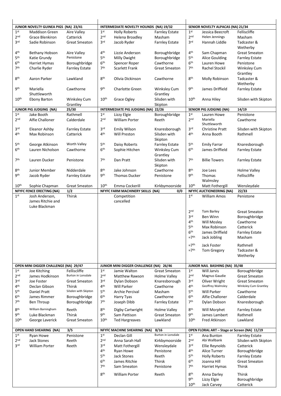|                                    | JUNIOR NOVELTY GUINEA PIGS (NA) 23/41              |                                    |                                    | INTERMEDIATE NOVELTY HOUNDS (NA) 19/32             |                                             |                                    | SENIOR NOVELTY ALPACAS (NA) 21/34             |                                       |
|------------------------------------|----------------------------------------------------|------------------------------------|------------------------------------|----------------------------------------------------|---------------------------------------------|------------------------------------|-----------------------------------------------|---------------------------------------|
| 1 <sup>st</sup>                    | <b>Maddison Green</b>                              | Aire Valley                        | 1 <sup>st</sup>                    | <b>Holly Roberts</b>                               | <b>Farnley Estate</b>                       | 1 <sup>st</sup>                    | Jessica Beecroft                              | Felliscliffe                          |
| 2 <sup>nd</sup><br>3 <sup>rd</sup> | <b>Grace Blenkiron</b><br>Sadie Robinson           | Catterick<br><b>Great Smeaton</b>  | 2 <sup>nd</sup><br>3 <sup>rd</sup> | Helena Broadley                                    | Masham                                      | 2 <sup>nd</sup><br>3 <sup>rd</sup> | Helen Jennings<br>Hannah Liddle               | Masham<br>Tadcaster &                 |
|                                    |                                                    |                                    |                                    | Jacob Ryder                                        | <b>Farnley Estate</b>                       |                                    |                                               | Wetherby                              |
| 4 <sup>th</sup>                    | Bethany Hobson                                     | Aire Valley                        | 4 <sup>th</sup>                    | Lizzie Anderson                                    | Boroughbridge                               | 4 <sup>th</sup>                    | Sam Chapman                                   | <b>Great Smeaton</b>                  |
| 5th                                | Katie Grundy                                       | Penistone                          | 5 <sup>th</sup>                    | <b>Milly Dwight</b>                                | Boroughbridge                               | 5th                                | <b>Alice Goulding</b>                         | <b>Farnley Estate</b>                 |
| 6 <sup>th</sup>                    | Harriet Hymas                                      | Boroughbridge                      | 6 <sup>th</sup>                    | Spencer Roper                                      | Cawthorne                                   | 6 <sup>th</sup>                    | Lauren Howe                                   | Penistone                             |
| 7 <sup>th</sup>                    | Charlie Ryder                                      | <b>Farnley Estate</b>              | 7 <sup>th</sup>                    | <b>Scarlett Frank</b>                              | <b>Great Smeaton</b>                        | 7 <sup>th</sup>                    | Rachel Stockil                                | <b>Winksley Cum</b>                   |
|                                    |                                                    |                                    |                                    |                                                    |                                             |                                    |                                               | Grantley                              |
| 8 <sup>th</sup>                    | Aaron Parker                                       | Lawkland                           | 8 <sup>th</sup>                    | Olivia Dickinson                                   | Cawthorne                                   | 8 <sup>th</sup>                    | Molly Robinson                                | Tadcaster &                           |
|                                    |                                                    |                                    |                                    |                                                    |                                             |                                    |                                               | Wetherby                              |
| gth                                | Mariella                                           | Cawthorne                          | gth                                | Charlotte Green                                    | Winksley Cum                                | gth                                | James Driffield                               | <b>Farnley Estate</b>                 |
|                                    | Shuttleworth                                       |                                    |                                    |                                                    | Grantley                                    |                                    |                                               |                                       |
| 10 <sup>th</sup>                   | <b>Ebony Barton</b>                                | <b>Winksley Cum</b>                | 10 <sup>th</sup>                   | Grace Ogley                                        | Silsden with                                | 10 <sup>th</sup>                   | Anna Hiley                                    | Silsden with Skipton                  |
|                                    |                                                    | Grantley                           |                                    |                                                    | Skipton                                     |                                    |                                               |                                       |
| 1 <sup>st</sup>                    | <b>JUNIOR PIG JUDGING (NA)</b><br>Jake Booth       | 25/30<br>Rathmell                  | 1 <sup>st</sup>                    | INTERMEDIATE PIG JUDGING (NA) 22/26<br>Lizzy Elgie | Boroughbridge                               | 1 <sup>st</sup>                    | <b>SENIOR PIG JUDGING (NA)</b><br>Lauren Howe | 14/19<br>Penistone                    |
| 2 <sub>nd</sub>                    | Alfie Challoner                                    | Calderdale                         | 2 <sub>nd</sub>                    | <b>William Porter</b>                              | Reeth                                       | 2 <sub>nd</sub>                    | Mariella                                      | Cawthorne                             |
|                                    |                                                    |                                    |                                    |                                                    |                                             |                                    | Shuttleworth                                  |                                       |
| 3 <sup>rd</sup>                    | Eleanor Ashby                                      | <b>Farnley Estate</b>              | 3 <sup>rd</sup>                    | <b>Emily Wilson</b>                                | Knaresborough                               | 3 <sup>rd</sup>                    | <b>Christine Pratt</b>                        | Silsden with Skipton                  |
| 4 <sup>th</sup>                    | Max Robinson                                       | Catterick                          | 4 <sup>th</sup>                    | Will Preston                                       | Silsden with                                | 4 <sup>th</sup>                    | Anna Booth                                    | Rathmell                              |
|                                    |                                                    |                                    |                                    |                                                    | Skipton                                     |                                    |                                               |                                       |
| 5 <sup>th</sup>                    | George Atkinson                                    | Worth Valley                       | 5 <sup>th</sup>                    | Daisy Roberts                                      | <b>Farnley Estate</b>                       | 5 <sup>th</sup>                    | <b>Emily Farrar</b>                           | Knaresborough                         |
| 6 <sup>th</sup>                    | Lauren Nicholson                                   | Cawthorne                          | 6 <sup>th</sup>                    | Sophie Hitchen                                     | <b>Winksley Cum</b>                         | 6 <sup>th</sup>                    | James Driffield                               | <b>Farnley Estate</b>                 |
|                                    |                                                    |                                    |                                    |                                                    | Grantley                                    |                                    |                                               |                                       |
| 7 <sup>th</sup>                    | Lauren Ducker                                      | Penistone                          | 7 <sup>th</sup>                    | Dan Pratt                                          | Silsden with                                | 7 <sup>th</sup>                    | <b>Billie Towers</b>                          | <b>Farnley Estate</b>                 |
|                                    |                                                    |                                    |                                    |                                                    | Skipton                                     |                                    |                                               |                                       |
| 8 <sup>th</sup>                    | Junior Member                                      | Nidderdale                         | 8 <sup>th</sup>                    | Jake Johnson                                       | Cawthorne                                   | 8 <sup>th</sup>                    | Joe Lees                                      | Holme Valley                          |
| <b>9th</b>                         | Jacob Ryder                                        | <b>Farnley Estate</b>              | <b>9th</b>                         | <b>Thomas Ducker</b>                               | Penistone                                   | <b>9th</b>                         | Thomas                                        | Felliscliffe                          |
| $10^{\text{th}}$                   |                                                    | <b>Great Smeaton</b>               | 10 <sup>th</sup>                   | Emma Cockerill                                     |                                             | 10 <sup>th</sup>                   | Walmsley<br>Matt Fothergill                   |                                       |
|                                    | Sophie Chapman<br><b>NFYFC FENCE ERECTING (NA)</b> | 1/2                                |                                    | NFYFC FARM MACHINERY SKILLS (NA)                   | Kirkbymoorside<br>0/0                       |                                    | <b>NFYFC AUCTIONEERING (NA)</b>               | Wensleydale<br>22/33                  |
| 1 <sup>st</sup>                    | Josh Anderson,                                     | Thirsk                             |                                    | Competition                                        |                                             | 1 <sup>st</sup>                    | William Amos                                  | Penistone                             |
|                                    | James Ritchie and                                  |                                    |                                    | cancelled                                          |                                             |                                    |                                               |                                       |
|                                    | Luke Blackman                                      |                                    |                                    |                                                    |                                             |                                    |                                               |                                       |
|                                    |                                                    |                                    |                                    |                                                    |                                             | 2 <sub>nd</sub>                    | Tom Barley                                    | <b>Great Smeaton</b>                  |
|                                    |                                                    |                                    |                                    |                                                    |                                             | 3 <sup>rd</sup>                    | <b>Ben Winn</b>                               | Boroughbridge                         |
|                                    |                                                    |                                    |                                    |                                                    |                                             | 4 <sup>th</sup>                    | Will Mosley                                   | Cawthorne                             |
|                                    |                                                    |                                    |                                    |                                                    |                                             | 5 <sup>th</sup>                    | Max Robinson                                  | Catterick                             |
|                                    |                                                    |                                    |                                    |                                                    |                                             | 6 <sup>th</sup>                    | James Driffield                               | <b>Farnley Estate</b>                 |
|                                    |                                                    |                                    |                                    |                                                    |                                             | $=7th$                             | Jack Jobling                                  | Masham                                |
|                                    |                                                    |                                    |                                    |                                                    |                                             | $=7th$                             | Jack Foster                                   | Rathmell                              |
|                                    |                                                    |                                    |                                    |                                                    |                                             | $=7th$                             | Tom Gregory                                   | Tadcaster &                           |
|                                    |                                                    |                                    |                                    |                                                    |                                             |                                    |                                               | Wetherby                              |
|                                    |                                                    |                                    |                                    |                                                    |                                             |                                    |                                               |                                       |
|                                    | OPEN MINI DIGGER CHALLENGE (NA) 29/47              |                                    |                                    | JUNIOR MINI DIGGER CHALLENGE (NA) 26/46            |                                             |                                    | JUNIOR NAIL BASHING (NA) 35/48                |                                       |
| 1 <sup>st</sup><br>2 <sub>nd</sub> | Joe Kitching<br>James Hodkinson                    | Felliscliffe<br>Burton in Lonsdale | 1 <sup>st</sup><br>2 <sub>nd</sub> | Jamie Walton                                       | <b>Great Smeaton</b><br><b>Holme Valley</b> | 1 <sup>st</sup><br>2 <sub>nd</sub> | Will Jarvis<br>Magnus Gaudie                  | Boroughbridge<br><b>Great Smeaton</b> |
| 3 <sup>rd</sup>                    | Joe Foster                                         | <b>Great Smeaton</b>               | 3 <sup>rd</sup>                    | Matthew Rawson<br>Dylan Dobson                     | Knaresborough                               | 3 <sup>rd</sup>                    | Oliver Wright                                 | <b>Great Smeaton</b>                  |
| 4 <sup>th</sup>                    | Declan Gibson                                      | Thirsk                             | 4 <sup>th</sup>                    | Will Parker                                        | Cawthorne                                   | 4 <sup>th</sup>                    | Geoffrey Walmsley                             | Winksley Cum Grantley                 |
| 5 <sup>th</sup>                    | Daniel Pratt                                       | Silsden with Skipton               | 5 <sup>th</sup>                    | Archie Percival                                    | Masham                                      | 5 <sup>th</sup>                    | <b>Will Parker</b>                            | Cawthorne                             |
| 6 <sup>th</sup>                    | James Rimmer                                       | Boroughbridge                      | 6 <sup>th</sup>                    | Harry Tyas                                         | Cawthorne                                   | 6 <sup>th</sup>                    | Alfie Challoner                               | Calderdale                            |
| 7 <sup>th</sup>                    | Ben Throup                                         | Boroughbridge                      | 7 <sup>th</sup>                    | Joseph Dibb                                        | <b>Farnley Estate</b>                       | 7 <sup>th</sup>                    | Dylan Dobson                                  | Knaresborough                         |
| 8 <sup>th</sup>                    | William Barningham                                 |                                    | 8 <sup>th</sup>                    |                                                    |                                             |                                    |                                               |                                       |
| <b>9th</b>                         |                                                    | Reeth<br>Thirsk                    | <b>9th</b>                         | Digby Cartwright<br>Sam Pattison                   | Holme Valley<br><b>Great Smeaton</b>        | 8 <sup>th</sup><br><b>9th</b>      | Will Morphet                                  | <b>Farnley Estate</b><br>Rathmell     |
| 10 <sup>th</sup>                   | Luke Blackman<br>George Laverick                   | <b>Great Smeaton</b>               | 10 <sup>th</sup>                   |                                                    | Lawkland                                    | 10 <sup>th</sup>                   | James Lambert<br>Fred Atkinson                | Lawkland                              |
|                                    |                                                    |                                    |                                    | <b>Ted Hargreaves</b>                              |                                             |                                    |                                               |                                       |
|                                    | <b>OPEN HAND SHEARING (NA)</b>                     | 3/5                                |                                    | NFYFC MACHINE SHEARING (NA)                        | 8/16                                        |                                    | OPEN FLORAL ART - Stage or Screen (NA) 11/19  |                                       |
| 1 <sup>st</sup>                    | Ryan Howe                                          | Penistone                          | 1 <sup>st</sup>                    | Declan Gill                                        | <b>Burton in Lonsdale</b>                   | 1 <sup>st</sup>                    | Ana Bunton                                    | <b>Farnley Estate</b>                 |
| 2 <sub>nd</sub>                    | Jack Stones                                        | Reeth                              | 2 <sub>nd</sub>                    | Anna Sarah Hall                                    | Kirkbymoorside                              | 2 <sub>nd</sub>                    | Abi Wallbank                                  | Silsden with Skipton                  |
| 3 <sup>rd</sup>                    | <b>William Porter</b>                              | Reeth                              | 3 <sup>rd</sup>                    | Matt Fothergill                                    | Wensleydale                                 | 3 <sup>rd</sup>                    | Ellie Reynolds                                | Catterick                             |
|                                    |                                                    |                                    | 4 <sup>th</sup>                    | Ryan Howe                                          | Penistone                                   | 4 <sup>th</sup>                    | Alice Turner                                  | Boroughbridge                         |
|                                    |                                                    |                                    | 5 <sup>th</sup>                    | <b>Jack Stones</b>                                 | Reeth                                       | 5 <sup>th</sup>                    | <b>Holly Roberts</b>                          | <b>Farnley Estate</b>                 |
|                                    |                                                    |                                    | 6 <sup>th</sup>                    | James Ritchie                                      | <b>Thirsk</b>                               | 6 <sup>th</sup>                    | Joanna Hill                                   | <b>Great Smeaton</b>                  |
|                                    |                                                    |                                    | 7 <sup>th</sup>                    | Sam Smeaton                                        | Penistone                                   | 7 <sup>th</sup>                    | Harriet Hymas                                 | Thirsk                                |
|                                    |                                                    |                                    | 8 <sup>th</sup>                    | <b>William Porter</b>                              | Reeth                                       | 8 <sup>th</sup>                    | Anna Darley                                   | <b>Thirsk</b>                         |
|                                    |                                                    |                                    |                                    |                                                    |                                             | <b>g</b> th                        | Lizzy Elgie                                   | Boroughbridge                         |
|                                    |                                                    |                                    |                                    |                                                    |                                             | 10 <sup>th</sup>                   | Jack Carvey                                   | Catterick                             |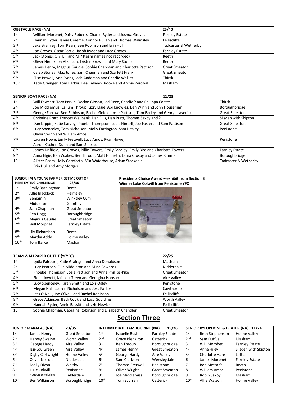|                  | <b>OBSTACLE RACE (NA)</b>                                          | 25/40                 |
|------------------|--------------------------------------------------------------------|-----------------------|
| 1 <sup>st</sup>  | William Morphet, Daisy Roberts, Charlie Ryder and Joshua Groves    | <b>Farnley Estate</b> |
| 2 <sub>nd</sub>  | Hannah Ryder, Jamie Graeme, Connor Pullan and Thomas Walmsley      | Felliscliffe          |
| 3 <sup>rd</sup>  | Jake Bramley, Tom Pears, Ben Robinson and Erin Hull                | Tadcaster & Wetherby  |
| 4 <sup>th</sup>  | Joe Groves, Oscar Bartle, Jacob Ryder and Lucy Groves              | <b>Farnley Estate</b> |
| 5 <sup>th</sup>  | Jack Stones, O ?, E ? and M ? (team names not recorded)            | Reeth                 |
| 6 <sup>th</sup>  | Oliver Hird, Ellen Atkinson, Tristen Brown and Mary Stones         | Reeth                 |
| 7 <sup>th</sup>  | James Henry, Magnus Gaudie, Sophie Chapman and Charlotte Pattison  | <b>Great Smeaton</b>  |
| 8 <sup>th</sup>  | Caleb Stoney, Max Jones, Sam Chapman and Scarlett Frank            | <b>Great Smeaton</b>  |
| <b>gth</b>       | Elise Powell, Ivan Evans, Josh Anderson and Charlie Walker         | Thirsk                |
| $10^{\text{th}}$ | Katie Grainger, Tom Barker, Bea Calland-Brooke and Archie Percival | Masham                |

|                  | <b>SENIOR BOAT RACE (NA)</b><br>11/23                                                      |                       |
|------------------|--------------------------------------------------------------------------------------------|-----------------------|
| 1 <sup>st</sup>  | Will Fawcett, Tom Parvin, Declan Gibson, Jed Reed, Charlie ? and Philippa Coates           | <b>Thirsk</b>         |
| 2 <sub>nd</sub>  | Joe Middlemiss, Callum Throup, Lizzy Elgie, Abi Knowles, Ben Winn and John Houseman        | Boroughbridge         |
| 3 <sup>rd</sup>  | George Farrow, Ben Robinson, Rachel Goldie, Josie Pattison, Tom Barley and George Laverick | <b>Great Smeaton</b>  |
| 4 <sup>th</sup>  | Christine Pratt, Frances Wallbank, Dan Ellis, Dan Pratt, Thomas Saxby and ?                | Silsden with Skipton  |
| 5 <sup>th</sup>  | Dan Lappin, Katie Carvey, Phoebe Thompson, Louis Flintoff, Joe Foster and Sam Pattison     | <b>Great Smeaton</b>  |
| 6 <sup>th</sup>  | Lucy Spenceley, Tom Nicholson, Molly Farrington, Sam Healey,                               | Penistone             |
|                  | <b>Oliver Swinn and William Amos</b>                                                       |                       |
| 7 <sup>th</sup>  | Lauren Howe, Emily Fretwell, Lucy Amos, Ryan Howe,                                         | Penistone             |
|                  | Aaron Kitchen-Dunn and Sam Smeaton                                                         |                       |
| <b>gth</b>       | James Driffield, Joe Groves, Billie Towers, Emily Bradley, Emily Bird and Charlotte Towers | <b>Farnley Estate</b> |
| gth              | Anna Elgie, Ben Voakes, Ben Throup, Matt Hildreth, Laura Crosby and James Rimmer           | Boroughbridge         |
| 10 <sup>th</sup> | Alister Pears, Holly Cornforth, Mia Waterhouse, Adam Stockdale,                            | Tadcaster & Wetherby  |
|                  | Erin Hull and Amy Morgan                                                                   |                       |

|                  | JUNIOR I'M A YOUNG FARMER GET ME OUT OF |                       |
|------------------|-----------------------------------------|-----------------------|
|                  | <b>HERE EATING CHALLENGE</b>            | 26/36                 |
| 1 <sup>st</sup>  | <b>Emily Barningham</b>                 | Reeth                 |
| 2nd              | Alfie Blacklock                         | Helmsley              |
| <b>3rd</b>       | Benjamin                                | <b>Winksley Cum</b>   |
|                  | Middleton                               | Grantley              |
| 4 <sup>th</sup>  | Sam Chapman                             | <b>Great Smeaton</b>  |
| 5 <sup>th</sup>  | Ben Hogg                                | Boroughbridge         |
| 6 <sup>th</sup>  | Magnus Gaudie                           | <b>Great Smeaton</b>  |
| 7 <sup>th</sup>  | Will Morphet                            | <b>Farnley Estate</b> |
| <b>Rth</b>       | Lily Richardson                         | Reeth                 |
| <b>gth</b>       | Martha Addy                             | Holme Valley          |
| 10 <sup>th</sup> | <b>Tom Barker</b>                       | Masham                |

#### **Presidents Choice Award – exhibit from Section 3 Winner Luke Colwill from Penistone YFC**



|                  | TEAM WALLPAPER OUTFIT (YFYFC)                            | 22/25                |
|------------------|----------------------------------------------------------|----------------------|
| 1 <sup>st</sup>  | Lydia Fairburn, Katie Grainger and Anna Donaldson        | Masham               |
| 2 <sub>nd</sub>  | Lucy Pearson, Ellie Middleton and Mina Edwards           | Nidderdale           |
| 3 <sup>rd</sup>  | Phoebe Thompson, Josie Pattison and Anna Phillips-Pike   | <b>Great Smeaton</b> |
| 4 <sup>th</sup>  | Fiona Jowett, Izzi-Lou Green and Georgina Hobson         | Aire Valley          |
| 5 <sup>th</sup>  | Lucy Spenceley, Tarah Smith and Lois Ogley               | Penistone            |
| 6 <sup>th</sup>  | Megan Hall, Lauren Nicholson and Jess Parker             | Cawthorne            |
| 7 <sup>th</sup>  | Jess O'Neill, Joe O'Neill and Rachel Robinson            | Felliscliffe         |
| 8 <sup>th</sup>  | Grace Atkinson, Beth Cook and Lucy Goulding              | <b>Worth Valley</b>  |
| <b>gth</b>       | Hannah Ryder, Annie Bassitt and Izzie Hewick             | Felliscliffe         |
| 10 <sup>th</sup> | Sophie Chapman, Georgina Robinson and Elizabeth Chandler | <b>Great Smeaton</b> |

### **Section Three**

|                  | <b>JUNIOR MARACAS (NA)</b> | 23/35                |                  | <b>INTERMEDIATE TAMBOURINE (NA)</b> | 15/26                 |                  | SENIOR XYLOPHONE & BEATER (NA) 11/24 |                       |
|------------------|----------------------------|----------------------|------------------|-------------------------------------|-----------------------|------------------|--------------------------------------|-----------------------|
| 1 <sup>st</sup>  | James Henry                | <b>Great Smeaton</b> | 1 <sup>st</sup>  | Isabelle Bush                       | <b>Farnley Estate</b> | 1 <sup>st</sup>  | Beth Stephenson                      | Holme Valley          |
| 2 <sub>nd</sub>  | Harvey Swaine              | <b>Worth Valley</b>  | 2 <sub>nd</sub>  | Grace Blenkiron                     | Catterick             | 2 <sub>nd</sub>  | Sam Duffus                           | Masham                |
| 3 <sup>rd</sup>  | George Hardy               | Aire Valley          | 3 <sup>rd</sup>  | Ben Throup                          | Boroughbridge         | 3 <sup>rd</sup>  | Will Morphet                         | <b>Farnley Estate</b> |
| 4 <sup>th</sup>  | Izzi-Lou Green             | Aire Valley          | 4 <sup>th</sup>  | James Henry                         | <b>Great Smeaton</b>  | 4 <sup>th</sup>  | Anna Hiley                           | Silsden with Skipton  |
| 5 <sup>th</sup>  | Digby Cartwright           | Holme Valley         | 5 <sup>th</sup>  | George Hardy                        | Aire Valley           | 5 <sup>th</sup>  | Charlotte Hare                       | Loftus                |
| 6 <sup>th</sup>  | Oliver Nelson              | Nidderdale           | 6 <sup>th</sup>  | Sam Clarkson                        | Wensleydale           | 6 <sup>th</sup>  | James Morphet                        | <b>Farnley Estate</b> |
| 7 <sup>th</sup>  | Molly Dixon                | Whitby               | 7 <sup>th</sup>  | <b>Thomas Fretwell</b>              | Penistone             | 7 <sup>th</sup>  | Ben Metcalfe                         | Reeth                 |
| 8 <sup>th</sup>  | Luke Colwill               | Penistone            | 8 <sup>th</sup>  | Oliver Wright                       | <b>Great Smeaton</b>  | 8 <sup>th</sup>  | William Amos                         | Penistone             |
| gth              | Reuben Scholefield         | Calderdale           | gth              | Joe Middlemiss                      | Boroughbridge         | gth              | Robin Saxby                          | Masham                |
| 10 <sup>th</sup> | Ben Wilkinson              | Boroughbridge        | 10 <sup>th</sup> | Tom Scurrah                         | Catterick             | 10 <sup>th</sup> | Alfie Watson                         | Holme Valley          |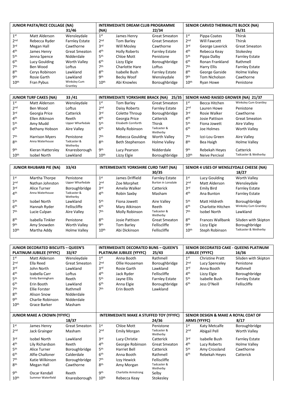|                  | JUNIOR PASTA/RICE COLLAGE (NA) |                          |                  | <b>INTERMEDIATE DREAM CLUB PROGRAMME</b> |                       | SENIOR CARVED THERMALITE BLOCK (NA) |                 |                       |
|------------------|--------------------------------|--------------------------|------------------|------------------------------------------|-----------------------|-------------------------------------|-----------------|-----------------------|
|                  |                                | 31/46                    | (NA)             |                                          | 22/34                 |                                     |                 | 16/31                 |
| 1 <sup>st</sup>  | Matt Alderson                  | Wensleydale              | 1 <sup>st</sup>  | James Henry                              | <b>Great Smeaton</b>  | 1 <sup>st</sup>                     | Pippa Coates    | <b>Thirsk</b>         |
| 2 <sub>nd</sub>  | Rebecca Ryder                  | <b>Farnley Estate</b>    | 2 <sub>nd</sub>  | Tom Barley                               | <b>Great Smeaton</b>  | 2 <sub>nd</sub>                     | Will Fawcett    | <b>Thirsk</b>         |
| 3 <sup>rd</sup>  | Megan Hall                     | Cawthorne                | 3 <sup>rd</sup>  | Will Mosley                              | Cawthorne             | 3 <sup>rd</sup>                     | George Laverick | <b>Great Smeaton</b>  |
| 4 <sup>th</sup>  | James Henry                    | <b>Great Smeaton</b>     | 4 <sup>th</sup>  | <b>Holly Roberts</b>                     | <b>Farnley Estate</b> | 4 <sup>th</sup>                     | Rebecca Keay    | Stokesley             |
| 5 <sup>th</sup>  | Jenna Spence                   | Nidderdale               | 5 <sup>th</sup>  | Chloe Mott                               | Penistone             | 5 <sup>th</sup>                     | Pippa Dalby     | <b>Farnley Estate</b> |
| 6 <sup>th</sup>  | Lucy Goulding                  | <b>Worth Valley</b>      | 6 <sup>th</sup>  | Lizzy Elgie                              | Boroughbridge         | 6 <sup>th</sup>                     | Ronan Frankland | Rathmell              |
| 7 <sup>th</sup>  | Ben Wood                       | Loftus                   | 7 <sup>th</sup>  | Charlotte Hare                           | Loftus                | 7 <sup>th</sup>                     | Harry Ellis     | <b>Farnley Estate</b> |
| 8 <sup>th</sup>  | Cerys Robinson                 | Lawkland                 | 8 <sup>th</sup>  | Isabelle Bush                            | <b>Farnley Estate</b> | 8 <sup>th</sup>                     | George Garside  | Holme Valley          |
| gth              | Rosie Garth                    | Lawkland                 | gth              | Becky Woof                               | Wensleydale           | <b>9th</b>                          | Tom Nicholson   | Cawthorne             |
| 10 <sup>th</sup> | Fran Pybus                     | Winksley Cum<br>Grantley | 10 <sup>th</sup> | Abi Knowles                              | Boroughbridge         | 10 <sup>th</sup>                    | Ryan Howe       | Penistone             |

| 33/41<br><b>JUNIOR TURF CAKES (NA)</b> |                       |                         | <b>INTERMEDIATE YORKSHIRE BRACK (NA)</b><br>25/35 |                     |                         | SENIOR HAND RAISED GROWER (NA) 21/37 |                |                       |  |
|----------------------------------------|-----------------------|-------------------------|---------------------------------------------------|---------------------|-------------------------|--------------------------------------|----------------|-----------------------|--|
| 1 <sup>st</sup>                        | Matt Alderson         | Wensleydale             | 1 <sup>st</sup>                                   | Tom Barlev          | <b>Great Smeaton</b>    | 1 <sup>st</sup>                      | Becca Hitchen  | Winksley Cum Grantley |  |
| 2 <sub>nd</sub>                        | Ben Wood              | Loftus                  | 2 <sub>nd</sub>                                   | Daisy Roberts       | <b>Farnley Estate</b>   | 2 <sub>nd</sub>                      | Lauren Howe    | Penistone             |  |
| 3 <sub>rd</sub>                        | Georgia Price         | Catterick               | 3 <sup>rd</sup>                                   | Colette Throup      | Boroughbridge           | 3 <sub>rd</sub>                      | Rosie Walker   | Cawthorne             |  |
| 4 <sup>th</sup>                        | Ellen Atkinson        | Reeth                   | 4 <sup>th</sup>                                   | Georgia Price       | Catterick               | 4 <sup>th</sup>                      | Josie Pattison | <b>Great Smeaton</b>  |  |
| 5 <sup>th</sup>                        | Amy Mudd              | <b>Upper Wharfedale</b> | 5 <sup>th</sup>                                   | Elizabeth Cornforth | <b>Thirsk</b>           | 5 <sup>th</sup>                      | Fiona Jowett   | Aire Valley           |  |
| 6 <sup>th</sup>                        | Bethany Hobson        | Aire Valley             | 6 <sup>th</sup>                                   | Molly Robinson      | Tadcaster &<br>Wetherby | 6 <sup>th</sup>                      | Joe Holmes     | <b>Worth Valley</b>   |  |
| 7 <sup>th</sup>                        | <b>Harrison Myers</b> | Penistone               | 7 <sup>th</sup>                                   | Rebecca Goulding    | <b>Worth Valley</b>     | 7 <sup>th</sup>                      | Izzi-Lou Green | Aire Valley           |  |
| <b>gth</b>                             | Anna Waterhouse       | Tadcaster &<br>Wetherby | <b>gth</b>                                        | Beth Stephenson     | Holme Valley            | 8 <sup>th</sup>                      | Bea Haigh      | Holme Valley          |  |
| gth                                    | Kieran Hattersley     | Knaresborough           | gth                                               | Lucy Pearson        | Nidderdale              | gth                                  | Rebekah Heyes  | Catterick             |  |
| 10 <sup>th</sup>                       | Isobel North          | Lawkland                | 10 <sup>th</sup>                                  | Lizzy Elgie         | Boroughbridge           | 10 <sup>th</sup>                     | Neive Percival | Tadcaster & Wetherby  |  |

| <b>JUNIOR RHUBARB PIE (NA)</b><br>33/43 |                  | INTERMEDIATE YORKSHIRE CURD TART (NA) |                  |                   | SENIOR 4 USES OF WENSLEYDALE CHEESE (NA) |                  |                         |                       |
|-----------------------------------------|------------------|---------------------------------------|------------------|-------------------|------------------------------------------|------------------|-------------------------|-----------------------|
|                                         |                  |                                       |                  |                   | 30/35                                    |                  |                         | 18/27                 |
| 1 <sup>st</sup>                         | Martha Thorpe    | Penistone                             | 1 <sup>st</sup>  | James Driffield   | <b>Farnley Estate</b>                    | 1 <sup>st</sup>  | Lucy Goulding           | <b>Worth Valley</b>   |
| 2 <sub>nd</sub>                         | Nathan Johnston  | <b>Upper Wharfedale</b>               | 2 <sub>nd</sub>  | Zoe Morphet       | Burton in Lonsdale                       | 2 <sub>nd</sub>  | Matt Alderson           | Wensleydale           |
| 3 <sub>rd</sub>                         | Alice Turner     | Boroughbridge                         | 3 <sup>rd</sup>  | Amelia Walker     | Catterick                                | 3 <sup>rd</sup>  | <b>Emily Bird</b>       | <b>Farnley Estate</b> |
| 4 <sup>th</sup>                         | Anna Waterhouse  | Tadcaster &<br>Wetherby               | 4 <sup>th</sup>  | Robin Saxby       | Masham                                   | 4 <sup>th</sup>  | Ana Bunton              | <b>Farnley Estate</b> |
| 5 <sup>th</sup>                         | Isobel North     | Lawkland                              | 5 <sup>th</sup>  | Fiona Jowett      | Aire Valley                              | 5 <sup>th</sup>  | Matt Hildreth           | Boroughbridge         |
| 6 <sup>th</sup>                         | Hannah Ryder     | Felliscliffe                          | 6 <sup>th</sup>  | Mary Atkinson     | Reeth                                    | 6 <sup>th</sup>  | Charlotte Hitchen       | Winksley Cum Grantley |
| 7 <sup>th</sup>                         | Lucie Culpan     | Aire Valley                           | 7 <sup>th</sup>  | Molly Robinson    | Tadcaster &<br>Wetherby                  | 7 <sup>th</sup>  | <b>Isobel North</b>     | Lawkland              |
| <b>gth</b>                              | Isabella Tinkler | Penistone                             | <b>gth</b>       | Josie Pattison    | <b>Great Smeaton</b>                     | 8 <sup>th</sup>  | <b>Frances Wallbank</b> | Silsden with Skipton  |
| gth                                     | Amy Snowden      | <b>Worth Valley</b>                   | qth              | <b>Tom Barley</b> | Felliscliffe                             | gth              | Lizzy Elgie             | Boroughbridge         |
| 10 <sup>th</sup>                        | Martha Addy      | <b>Holme Valley</b>                   | 10 <sup>th</sup> | Abi Dickinson     | Felliscliffe                             | 10 <sup>th</sup> | Steph Robinson          | Tadcaster & Wetherby  |

|                                    | <b>JUNIOR DECORATED BISCUITS - QUEEN'S</b> |                      |                 | <b>INTERMEDIATE DECORATED BUNS - QUEEN'S</b> |                         | SENIOR DECORATED CAKE - QUEENS PLATINUM |                                      |                       |  |
|------------------------------------|--------------------------------------------|----------------------|-----------------|----------------------------------------------|-------------------------|-----------------------------------------|--------------------------------------|-----------------------|--|
|                                    | PLATINUM JUBILEE (YFYFC)                   | 33/47                |                 | PLATINUM JUBILEE (YFYFC)                     | 25/43                   |                                         | <b>JUBILEE (YFYFC)</b>               | 16/36                 |  |
| 1 <sup>st</sup>                    | Matt Alderson                              | Wensleydale          | 1 <sup>st</sup> | Anna Booth                                   | Rathmell                | 1 <sup>st</sup>                         | <b>Christine Pratt</b>               | Silsden with Skipton  |  |
| 2 <sub>nd</sub>                    | Ella Reed                                  | <b>Great Smeaton</b> | 2 <sub>nd</sub> | Ollie Houseman                               | Boroughbridge           | 2 <sub>nd</sub>                         | Lucy Spenceley                       | Penistone             |  |
| 3 <sup>rd</sup>                    | John North                                 | Lawkland             | 3 <sub>rd</sub> | Rosie Garth                                  | Lawkland                | 3 <sup>rd</sup>                         | Anna Booth                           | Rathmell              |  |
| 4 <sup>th</sup>                    | Izabella Carr                              | Loftus               | 4 <sup>th</sup> | Jack Ryder                                   | Felliscliffe            | 4 <sup>th</sup>                         | Lizzy Elgie                          | Boroughbridge         |  |
| 5 <sup>th</sup>                    | <b>Emily Barningham</b>                    | Reeth                | 5 <sup>th</sup> | Jayne Ellis                                  | <b>Farnley Estate</b>   | 5 <sup>th</sup>                         | Isabelle Bush                        | <b>Farnley Estate</b> |  |
| 6 <sup>th</sup>                    | Erin Booth                                 | Lawkland             | 6 <sup>th</sup> | Anna Elgie                                   | Boroughbridge           | 6 <sup>th</sup>                         | Jess O'Neill                         | Felliscliffe          |  |
| 7th                                | <b>Ellie Forster</b>                       | Rathmell             | 7 <sup>th</sup> | Erin Booth                                   | Lawkland                |                                         |                                      |                       |  |
| <b>gth</b>                         | <b>Alison Snow</b>                         | Nidderdale           |                 |                                              |                         |                                         |                                      |                       |  |
| <b>9th</b>                         | Charlie Robinson                           | Nidderdale           |                 |                                              |                         |                                         |                                      |                       |  |
| 10 <sup>th</sup>                   | Grace Barker                               | Masham               |                 |                                              |                         |                                         |                                      |                       |  |
|                                    |                                            |                      |                 |                                              |                         |                                         |                                      |                       |  |
| <b>JUNIOR MAKE A CROWN (YFYFC)</b> |                                            |                      |                 |                                              |                         |                                         |                                      |                       |  |
|                                    |                                            |                      |                 | INTERMEDIATE MAKE A STUFFED TOY (YFYFC)      |                         |                                         | SENIOR DESIGN & MAKE A ROYAL COAT OF |                       |  |
|                                    |                                            | 18/37                |                 |                                              | 24/36                   |                                         | <b>ARMS (YFYFC)</b>                  | 8/17                  |  |
| 1 <sup>st</sup>                    | James Henry                                | <b>Great Smeaton</b> | 1 <sup>st</sup> | Chloe Mott                                   | Penistone               | 1 <sup>st</sup>                         | Katy Metcalfe                        | Boroughbridge         |  |
| 2 <sub>nd</sub>                    | Jack Grainger                              | Masham               | 2 <sub>nd</sub> | <b>Emily Morgan</b>                          | Tadcaster &<br>Wetherby | 2 <sub>nd</sub>                         | Abigail Pell                         | <b>Worth Valley</b>   |  |
| 3 <sub>rd</sub>                    | <b>Isobel North</b>                        | Lawkland             | 3 <sub>rd</sub> | Lucy Christie                                | Catterick               | 3 <sup>rd</sup>                         | <b>Isabelle Bush</b>                 | <b>Farnley Estate</b> |  |
| 4 <sup>th</sup>                    | Lily Richardson                            | Reeth                | 4 <sup>th</sup> | Georgie Robinson                             | <b>Great Smeaton</b>    | 4 <sup>th</sup>                         | Lucy Roberts                         | Holme Valley          |  |
| 5 <sup>th</sup>                    | Alice Turner                               | Boroughbridge        | 5 <sup>th</sup> | <b>Harriet Bell</b>                          | Catterick               | 5 <sup>th</sup>                         | Amy Crossland                        | Cawthorne             |  |
| 6 <sup>th</sup>                    | Alfie Challoner                            | Calderdale           | 6 <sup>th</sup> | Anna Booth                                   | Rathmell                | 6 <sup>th</sup>                         | Rebekah Heyes                        | Catterick             |  |
| 7 <sup>th</sup>                    | Katie Wilkinson                            | Boroughbridge        | 7 <sup>th</sup> | Izzy Hewick                                  | Felliscliffe            |                                         |                                      |                       |  |
| 8 <sup>th</sup>                    | Megan Hall                                 | Cawthorne            | gth             | Amy Morgan                                   | Tadcaster &<br>Wetherby |                                         |                                      |                       |  |
| <b>9th</b>                         | Oscar Kendall                              | Reeth                | <b>gth</b>      | <b>Charlotte Armstrong</b>                   | Selby                   |                                         |                                      |                       |  |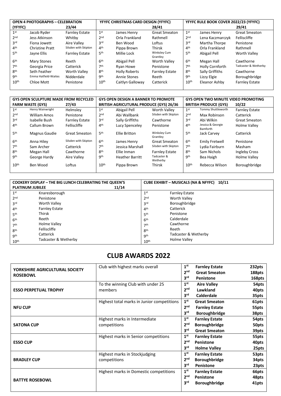| <b>OPEN 4 PHOTOGRAPHS - CELEBRATION</b> |                        |                       | YFYFC CHRISTMAS CARD DESIGN (YFYFC) |                      |                          | YFYFC RULE BOOK COVER 2022/23 (YFYFC) |                  |                       |  |
|-----------------------------------------|------------------------|-----------------------|-------------------------------------|----------------------|--------------------------|---------------------------------------|------------------|-----------------------|--|
| (YFYFC)                                 |                        | 23/44                 |                                     |                      | 28/41                    |                                       |                  | 29/41                 |  |
| 1 <sup>st</sup>                         | Jacob Ryder            | <b>Farnley Estate</b> | 1 <sup>st</sup>                     | James Henry          | <b>Great Smeaton</b>     | 1 <sup>st</sup>                       | James Henry      | <b>Great Smeaton</b>  |  |
| 2 <sub>nd</sub>                         | Jess Atkinson          | Whitby                | 2 <sub>nd</sub>                     | Orla Frankland       | Rathmell                 | 2 <sub>nd</sub>                       | Lena Kaczmarczyk | Felliscliffe          |  |
| 3 <sup>rd</sup>                         | Fiona Jowett           | Aire Valley           | 3 <sup>rd</sup>                     | Ben Wood             | Loftus                   | 3 <sup>rd</sup>                       | Martha Thorpe    | Penistone             |  |
| 4 <sup>th</sup>                         | <b>Christine Pratt</b> | Silsden with Skipton  | 4 <sup>th</sup>                     | Pippa Brown          | <b>Thirsk</b>            | 4 <sup>th</sup>                       | Orla Frankland   | Rathmell              |  |
| 5 <sup>th</sup>                         | Jayne Ellis            | <b>Farnley Estate</b> | 5 <sup>th</sup>                     | Millie Lock          | Winksley Cum<br>Grantley | 5 <sup>th</sup>                       | Abigail Pell     | Worth Valley          |  |
| 6 <sup>th</sup>                         | <b>Mary Stones</b>     | Reeth                 | 6 <sup>th</sup>                     | Abigail Pell         | <b>Worth Valley</b>      | 6 <sup>th</sup>                       | Megan Hall       | Cawthorne             |  |
| 7 <sup>th</sup>                         | Georgia Price          | Catterick             | 7th                                 | Ryan Howe            | Penistone                | 7 <sup>th</sup>                       | Holly Cornforth  | Tadcaster & Wetherby  |  |
| 8 <sup>th</sup>                         | Seth Feather           | <b>Worth Valley</b>   | 8 <sup>th</sup>                     | <b>Holly Roberts</b> | <b>Farnley Estate</b>    | 8 <sup>th</sup>                       | Sally Griffiths  | Cawthorne             |  |
| qth                                     | Emma Hatfield-Waites   | Nidderdale            | gth                                 | Annie Stones         | Reeth                    | gth                                   | Lizzy Elgie      | Boroughbridge         |  |
| 10 <sup>th</sup>                        | Chloe Mott             | Penistone             | 10 <sup>th</sup>                    | Caitlyn Galloway     | Catterick                | 10 <sup>th</sup>                      | Eleanor Ashby    | <b>Farnley Estate</b> |  |

|                  | <b>GYS OPEN SCULPTURE MADE FROM RECYCLED</b> |                       | <b>GYS OPEN DESIGN A BANNER TO PROMOTE</b>     |                        |                          | <b>GYS OPEN TWO MINUTE VIDEO PROMOTING</b> |                                      |                       |  |
|------------------|----------------------------------------------|-----------------------|------------------------------------------------|------------------------|--------------------------|--------------------------------------------|--------------------------------------|-----------------------|--|
|                  | <b>FARM WASTE (GYS)</b>                      | 27/43                 | <b>BRITISH AGRICUTURAL PRODUCE (GYS) 26/36</b> |                        |                          |                                            | <b>BRITISH PRODUCE (GYS)</b>         | 10/22                 |  |
| 1 <sup>st</sup>  | Henry Wainwright                             | Helmslev              | 1 <sup>st</sup>                                | Abigail Pell           | <b>Worth Valley</b>      | 1 <sup>st</sup>                            | Tommy Shuttleworth                   | <b>Farnley Estate</b> |  |
| 2 <sub>nd</sub>  | William Amos                                 | Penistone             | 2 <sub>nd</sub>                                | Abi Wallbank           | Silsden with Skipton     | 2 <sub>nd</sub>                            | Max Robinson                         | Catterick             |  |
| 3 <sup>rd</sup>  | Isabelle Bush                                | <b>Farnley Estate</b> | 3 <sup>rd</sup>                                | Sally Griffiths        | Cawthorne                | 3 <sup>rd</sup>                            | Abi Wilkin                           | <b>Great Smeaton</b>  |  |
| 4 <sup>th</sup>  | Callum Brown                                 | Felliscliffe          | 4 <sup>th</sup>                                | Lucy Spenceley         | Penistone                | 4 <sup>th</sup>                            | Jessica & Georgie<br><b>Bamforth</b> | Holme Valley          |  |
| 5 <sup>th</sup>  | Magnus Gaudie                                | <b>Great Smeaton</b>  | 5 <sup>th</sup>                                | Ellie Britton          | Winksley Cum<br>Grantley | 5 <sup>th</sup>                            | Jack Carvey                          | Catterick             |  |
| 6 <sup>th</sup>  | Anna Hiley                                   | Silsden with Skipton  | 6 <sup>th</sup>                                | James Henry            | <b>Great Smeaton</b>     | 6 <sup>th</sup>                            | <b>Emily Fretwell</b>                | Penistone             |  |
| 7 <sup>th</sup>  | Sam Archer                                   | Catterick             | 7 <sup>th</sup>                                | Jessica Marshall       | Silsden with Skipton     | 7 <sup>th</sup>                            | Lydia Fairburn                       | Masham                |  |
| 8 <sup>th</sup>  | Megan Hall                                   | Cawthorne             | <b>Rth</b>                                     | Ellie Inman            | <b>Farnley Estate</b>    | 8 <sup>th</sup>                            | Sam Nichols                          | Ingleby Cross         |  |
| <b>9th</b>       | George Hardy                                 | Aire Valley           | <b>9th</b>                                     | <b>Heather Barritt</b> | Tadcaster &<br>Wetherby  | <b>9th</b>                                 | Bea Haigh                            | Holme Valley          |  |
| 10 <sup>th</sup> | Ben Wood                                     | Loftus                | 10 <sup>th</sup>                               | Pippa Brown            | Thirsk                   | 10 <sup>th</sup>                           | Rebecca Wilson                       | Boroughbridge         |  |

| <b>PLATINUM JUBILEE</b> | <b>COOKERY DISPLAY - THE BIG LUNCH CELEBRATING THE QUEEN'S</b><br>11/14 | CUBE EXHIBIT - MUSICALS (NA & NFYFC) 10/11 |                       |  |  |  |
|-------------------------|-------------------------------------------------------------------------|--------------------------------------------|-----------------------|--|--|--|
| 1 <sup>st</sup>         | Knaresborough                                                           | 1 <sup>st</sup>                            | <b>Farnley Estate</b> |  |  |  |
| 2 <sub>nd</sub>         | Penistone                                                               | 2 <sub>nd</sub>                            | <b>Worth Valley</b>   |  |  |  |
| 3 <sup>rd</sup>         | <b>Worth Valley</b>                                                     | 3rd                                        | Boroughbridge         |  |  |  |
| 4 <sup>th</sup>         | <b>Farnley Estate</b>                                                   | 4 <sup>th</sup>                            | Catterick             |  |  |  |
| 5 <sup>th</sup>         | Thirsk                                                                  | 5 <sup>th</sup>                            | Penistone             |  |  |  |
| 6 <sup>th</sup>         | Reeth                                                                   | 6 <sup>th</sup>                            | Calderdale            |  |  |  |
| 7 <sup>th</sup>         | Holme Valley                                                            | 7 <sup>th</sup>                            | Cawthorne             |  |  |  |
| 8 <sup>th</sup>         | Felliscliffe                                                            | 8 <sup>th</sup>                            | Reeth                 |  |  |  |
| <b>9th</b>              | Catterick                                                               | <b>gth</b>                                 | Tadcaster & Wetherby  |  |  |  |
| 10 <sup>th</sup>        | Tadcaster & Wetherby                                                    | 10 <sup>th</sup>                           | <b>Holme Valley</b>   |  |  |  |

#### **CLUB AWARDS 2022**

| YORKSHIRE AGRICULTURAL SOCIETY | Club with highest marks overall            | 1 <sup>st</sup> | <b>Farnley Estate</b> | 232pts |
|--------------------------------|--------------------------------------------|-----------------|-----------------------|--------|
| <b>ROSEBOWL</b>                |                                            | 2 <sup>nd</sup> | <b>Great Smeaton</b>  | 188pts |
|                                |                                            | 3 <sup>rd</sup> | Penistone             | 168pts |
|                                | To the winning Club with under 25          | 1 <sup>st</sup> | <b>Aire Valley</b>    | 54pts  |
| <b>ESSO PERPETUAL TROPHY</b>   | members                                    | 2 <sub>nd</sub> | Lawkland              | 40pts  |
|                                |                                            | 3 <sup>rd</sup> | <b>Calderdale</b>     | 35pts  |
|                                | Highest total marks in Junior competitions | 1 <sup>st</sup> | <b>Great Smeaton</b>  | 61pts  |
| <b>NFU CUP</b>                 |                                            | 2 <sup>nd</sup> | <b>Farnley Estate</b> | 55pts  |
|                                |                                            | 3 <sup>rd</sup> | <b>Boroughbridge</b>  | 38pts  |
|                                | Highest marks in Intermediate              | 1 <sup>st</sup> | <b>Farnley Estate</b> | 54pts  |
| <b>SATONA CUP</b>              | competitions                               | 2 <sup>nd</sup> | <b>Boroughbridge</b>  | 50pts  |
|                                |                                            | 3 <sup>rd</sup> | <b>Great Smeaton</b>  | 39pts  |
|                                | Highest marks in Senior competitions       | 1 <sup>st</sup> | <b>Farnley Estate</b> | 55pts  |
| <b>ESSO CUP</b>                |                                            | 2 <sup>nd</sup> | Penistone             | 40pts  |
|                                |                                            | 3 <sup>rd</sup> | <b>Holme Valley</b>   | 25pts  |
|                                | Highest marks in Stockjudging              | 1 <sup>st</sup> | <b>Farnley Estate</b> | 53pts  |
| <b>BRADLEY CUP</b>             | competitions                               | 2 <sup>nd</sup> | <b>Boroughbridge</b>  | 34pts  |
|                                |                                            | 3 <sup>rd</sup> | Penistone             | 23pts  |
|                                | Highest marks in Domestic competitions     | 1 <sup>st</sup> | <b>Farnley Estate</b> | 66pts  |
|                                |                                            | 2 <sup>nd</sup> | Penistone             | 48pts  |
| <b>BATTYE ROSEBOWL</b>         |                                            | 3 <sup>rd</sup> | <b>Boroughbridge</b>  | 41pts  |
|                                |                                            |                 |                       |        |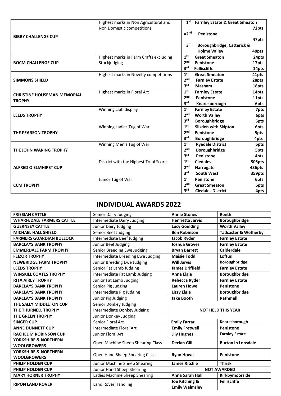|                                    | Highest marks in Non Agricultural and  |                 | $=1st$ Farnley Estate & Great Smeaton |        |
|------------------------------------|----------------------------------------|-----------------|---------------------------------------|--------|
|                                    | Non Domestic competitions              |                 |                                       | 72pts  |
| <b>BIBBY CHALLENGE CUP</b>         |                                        | $=2nd$          | Penistone                             |        |
|                                    |                                        |                 |                                       | 47pts  |
|                                    |                                        | $=3rd$          | Boroughbridge, Catterick &            |        |
|                                    |                                        |                 | <b>Holme Valley</b>                   | 40pts  |
|                                    | Highest marks in Farm Crafts excluding | 1 <sup>st</sup> | <b>Great Smeaton</b>                  | 24pts  |
| <b>BOCM CHALLENGE CUP</b>          | Stockjudging                           | 2 <sub>nd</sub> | Penistone                             | 17pts  |
|                                    |                                        | 3 <sup>rd</sup> | <b>Felliscliffe</b>                   | 14pts  |
|                                    | Highest marks in Novelty competitions  | 1 <sup>st</sup> | <b>Great Smeaton</b>                  | 41pts  |
| <b>SIMMONS SHIELD</b>              |                                        | 2 <sub>nd</sub> | <b>Farnley Estate</b>                 | 28pts  |
|                                    |                                        | 3 <sup>rd</sup> | Masham                                | 18pts  |
| <b>CHRISTINE HOUSEMAN MEMORIAL</b> | Highest marks in Floral Art            | 1 <sup>st</sup> | <b>Farnley Estate</b>                 | 14pts  |
| <b>TROPHY</b>                      |                                        | 2 <sub>nd</sub> | Penistone                             | 11pts  |
|                                    |                                        | 3 <sup>rd</sup> | Knaresborough                         | 6pts   |
|                                    | Winning club display                   | 1 <sup>st</sup> | <b>Farnley Estate</b>                 | 7pts   |
| <b>LEEDS TROPHY</b>                |                                        | 2 <sub>nd</sub> | <b>Worth Valley</b>                   | 6pts   |
|                                    |                                        | 3 <sup>rd</sup> | Boroughbridge                         | 5pts   |
|                                    | Winning Ladies Tug of War              | 1 <sup>st</sup> | <b>Silsden with Skipton</b>           | 6pts   |
| THE PEARSON TROPHY                 |                                        | 2 <sub>nd</sub> | Penistone                             | 5pts   |
|                                    |                                        | 3 <sup>rd</sup> | Boroughbridge                         | 4pts   |
|                                    | Winning Men's Tug of War               | 1 <sup>st</sup> | <b>Ryedale District</b>               | 6pts   |
| THE JOHN WARING TROPHY             |                                        | 2 <sub>nd</sub> | <b>Boroughbridge</b>                  | 5pts   |
|                                    |                                        | 3 <sup>rd</sup> | Penistone                             | 4pts   |
|                                    | District with the Highest Total Score  | 1 <sup>st</sup> | <b>Cledales</b>                       | 505pts |
| <b>ALFRED O ELMHIRST CUP</b>       |                                        | 2 <sub>nd</sub> | Harrogate                             | 436pts |
|                                    |                                        | 3 <sup>rd</sup> | <b>South West</b>                     | 359pts |
|                                    | Junior Tug of War                      | 1 <sup>st</sup> | Penistone                             | 6pts   |
| <b>CCM TROPHY</b>                  |                                        | 2 <sub>nd</sub> | <b>Great Smeaton</b>                  | 5pts   |
|                                    |                                        | 3 <sup>rd</sup> | <b>Cledales District</b>              | 4pts   |

#### **INDIVIDUAL AWARDS 2022**

| <b>FRIESIAN CATTLE</b>           | Senior Dairy Judging              | <b>Annie Stones</b>                     | <b>Reeth</b>                    |  |  |
|----------------------------------|-----------------------------------|-----------------------------------------|---------------------------------|--|--|
| <b>WHARFEDALE FARMERS CATTLE</b> | Intermediate Dairy Judging        | <b>Henrietta Jarvis</b>                 | <b>Boroughbridge</b>            |  |  |
| <b>GUERNSEY CATTLE</b>           | Junior Dairy Judging              | <b>Lucy Goulding</b>                    | <b>Worth Valley</b>             |  |  |
| <b>MICHAEL HALL SHIELD</b>       | Senior Beef Judging               | <b>Ben Robinson</b>                     | <b>Tadcaster &amp; Wetherby</b> |  |  |
| <b>FARMERS GUARDIAN BULLOCK</b>  | Intermediate Beef Judging         | Jacob Ryder                             | <b>Farnley Estate</b>           |  |  |
| <b>BARCLAYS BANK TROPHY</b>      | Junior Beef Judging               | <b>Joshua Groves</b>                    | <b>Farnley Estate</b>           |  |  |
| <b>EMMERDALE FARM TROPHY</b>     | Senior Breeding Ewe Judging       | <b>Bryan Barrett</b>                    | <b>Calderdale</b>               |  |  |
| <b>FEIZOR TROPHY</b>             | Intermediate Breeding Ewe Judging | <b>Maisie Todd</b>                      | Loftus                          |  |  |
| <b>NEWBRIDGE FARM TROPHY</b>     | Junior Breeding Ewe Judging       | <b>Will Jarvis</b>                      | Boroughbridge                   |  |  |
| <b>LEEDS TROPHY</b>              | Senior Fat Lamb Judging           | <b>James Driffield</b>                  | <b>Farnley Estate</b>           |  |  |
| <b>WINSKILL COATES TROPHY</b>    | Intermediate Fat Lamb Judging     | <b>Anna Elgie</b>                       | <b>Boroughbridge</b>            |  |  |
| <b>RITA AIREY TROPHY</b>         | Junior Fat Lamb Judging           | Rebecca Ryder                           | <b>Farnley Estate</b>           |  |  |
| <b>BARCLAYS BANK TROPHY</b>      | Senior Pig Judging                | <b>Lauren Howe</b>                      | <b>Penistone</b>                |  |  |
| <b>BARCLAYS BANK TROPHY</b>      | Intermediate Pig Judging          | <b>Lizzy Elgie</b>                      | <b>Boroughbridge</b>            |  |  |
| <b>BARCLAYS BANK TROPHY</b>      | Junior Pig Judging                | <b>Jake Booth</b>                       | Rathmell                        |  |  |
| THE SALLY MIDDLETON CUP          | Senior Donkey Judging             |                                         |                                 |  |  |
| THE THURNELL TROPHY              | Intermediate Donkey Judging       | <b>NOT HELD THIS YEAR</b>               |                                 |  |  |
| THE GREEN TROPHY                 | Junior Donkey Judging             |                                         |                                 |  |  |
| <b>SINGER CUP</b>                | Senior Floral Art                 | <b>Emily Farrar</b>                     | Knaresborough                   |  |  |
| <b>ANNE DUNNETT CUP</b>          | Intermediate Floral Art           | <b>Emily Fretwell</b>                   | <b>Penistone</b>                |  |  |
| <b>RACHEL M ROBINSON CUP</b>     | Junior Floral Art                 | <b>Lily Hughes</b>                      | <b>Farnley Estate</b>           |  |  |
| YORKSHIRE & NORTHERN             | Open Machine Sheep Shearing Class | <b>Declan Gill</b>                      | <b>Burton in Lonsdale</b>       |  |  |
| <b>WOOLGROWERS</b>               |                                   |                                         |                                 |  |  |
| YORKSHIRE & NORTHERN             | Open Hand Sheep Shearing Class    | <b>Ryan Howe</b>                        | Penistone                       |  |  |
| <b>WOOLGROWERS</b>               |                                   |                                         |                                 |  |  |
| PHILIP HOLDEN CUP                | Junior Machine Sheep Shearing     | <b>James Ritchie</b>                    | <b>Thirsk</b>                   |  |  |
| PHILIP HOLDEN CUP                | Junior Hand Sheep Shearing        |                                         | <b>NOT AWARDED</b>              |  |  |
| <b>MARY HORNER TROPHY</b>        | Ladies Machine Sheep Shearing     | <b>Anna Sarah Hall</b>                  | Kirkbymoorside                  |  |  |
| <b>RIPON LAND ROVER</b>          | Land Rover Handling               | Joe Kitching &<br><b>Emily Walmsley</b> | <b>Felliscliffe</b>             |  |  |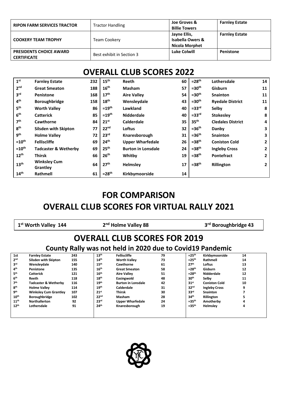| <b>RIPON FARM SERVICES TRACTOR</b>                   | <b>Tractor Handling</b>   | Joe Groves &<br><b>Billie Towers</b>                                 | <b>Farnley Estate</b> |
|------------------------------------------------------|---------------------------|----------------------------------------------------------------------|-----------------------|
| <b>COOKERY TEAM TROPHY</b>                           | Team Cookery              | Jayne Ellis,<br><b>Isabella Owers &amp;</b><br><b>Nicola Morphet</b> | <b>Farnley Estate</b> |
| <b>PRESIDENTS CHOICE AWARD</b><br><b>CERTIFICATE</b> | Best exhibit in Section 3 | <b>Luke Colwill</b>                                                  | Penistone             |

# **OVERALL CLUB SCORES 2022**

| 1 <sup>st</sup>   | <b>Farnley Estate</b>           | 232 | $15^{\text{th}}$ | Reeth                     | 60 | $=28th$          | Lothersdale              | 14 |
|-------------------|---------------------------------|-----|------------------|---------------------------|----|------------------|--------------------------|----|
| 2 <sub>nd</sub>   | <b>Great Smeaton</b>            | 188 | 16 <sup>th</sup> | <b>Masham</b>             | 57 | $=30th$          | <b>Gisburn</b>           | 11 |
| 3 <sup>rd</sup>   | <b>Penistone</b>                | 168 | 17 <sup>th</sup> | <b>Aire Valley</b>        | 54 | $=30th$          | <b>Snainton</b>          | 11 |
| 4 <sup>th</sup>   | Boroughbridge                   | 158 | 18 <sup>th</sup> | Wensleydale               | 43 | $=30th$          | <b>Ryedale District</b>  | 11 |
| 5 <sup>th</sup>   | <b>Worth Valley</b>             | 86  | $=19th$          | Lawkland                  | 40 | $=33rd$          | Selby                    | 8  |
| 6 <sup>th</sup>   | <b>Catterick</b>                | 85  | $=19th$          | <b>Nidderdale</b>         | 40 | $=33rd$          | <b>Stokesley</b>         | 8  |
| 7 <sup>th</sup>   | Cawthorne                       | 84  | $21^{st}$        | <b>Calderdale</b>         | 35 | 35 <sup>th</sup> | <b>Cledales District</b> | 4  |
| 8 <sup>th</sup>   | <b>Silsden with Skipton</b>     | 77  | 22 <sup>nd</sup> | Loftus                    | 32 | $=36th$          | Danby                    | 3  |
| 9 <sup>th</sup>   | <b>Holme Valley</b>             | 72  | 23 <sup>rd</sup> | Knaresborough             | 31 | $=36th$          | <b>Snainton</b>          | 3  |
| $=10^{\text{th}}$ | <b>Felliscliffe</b>             | 69  | 24 <sup>th</sup> | <b>Upper Wharfedale</b>   | 26 | $=38th$          | <b>Coniston Cold</b>     | 2  |
| $=10^{\text{th}}$ | Tadcaster & Wetherby            | 69  | 25 <sup>th</sup> | <b>Burton in Lonsdale</b> | 24 | $=38th$          | <b>Ingleby Cross</b>     | 2  |
| $12^{th}$         | Thirsk                          | 66  | 26 <sup>th</sup> | Whitby                    | 19 | $=38th$          | <b>Pontefract</b>        | 2  |
| 13 <sup>th</sup>  | <b>Winksley Cum</b><br>Grantley | 64  | 27 <sup>th</sup> | <b>Helmsley</b>           | 17 | $=38th$          | Rillington               | 2  |
| 14 <sup>th</sup>  | Rathmell                        | 61  | $=28th$          | Kirkbymoorside            | 14 |                  |                          |    |

# **FOR COMPARISON OVERALL CLUB SCORES FOR VIRTUAL RALLY 2021**

|                  | 1 <sup>st</sup> Worth Valley 144 |     |                  | 2 <sup>nd</sup> Holme Valley 88                           |    |                  | 3 <sup>rd</sup> Boroughbridge 43 |    |  |
|------------------|----------------------------------|-----|------------------|-----------------------------------------------------------|----|------------------|----------------------------------|----|--|
|                  |                                  |     |                  | <b>OVERALL CLUB SCORES FOR 2019</b>                       |    |                  |                                  |    |  |
|                  |                                  |     |                  | County Rally was not held in 2020 due to Covid19 Pandemic |    |                  |                                  |    |  |
| 1st              | <b>Farnley Estate</b>            | 243 | 13 <sup>th</sup> | <b>Felliscliffe</b>                                       | 79 | $=25th$          | Kirkbymoorside                   | 14 |  |
| 2 <sub>nd</sub>  | Silsden with Skipton             | 155 | 14 <sup>th</sup> | <b>Worth Valley</b>                                       | 73 | $=25th$          | Rathmell                         | 14 |  |
| 3 <sup>rd</sup>  | Wensleydale                      | 140 | 15 <sup>th</sup> | Cawthorne                                                 | 61 | 27 <sup>th</sup> | Loftus                           | 13 |  |
| 4 <sup>th</sup>  | Penistone                        | 135 | 16 <sup>th</sup> | <b>Great Smeaton</b>                                      | 58 | $=28th$          | Gisburn                          | 12 |  |
| 5 <sup>th</sup>  | <b>Catterick</b>                 | 121 | 16 <sup>th</sup> | <b>Aire Valley</b>                                        | 51 | $=28th$          | Nidderdale                       | 12 |  |
| 6 <sup>th</sup>  | Reeth                            | 118 | 18 <sup>th</sup> | Easingwold                                                | 48 | 30 <sup>th</sup> | Selby                            | 11 |  |
| 7 <sup>th</sup>  | Tadcaster & Wetherby             | 116 | 19 <sup>th</sup> | <b>Burton in Lonsdale</b>                                 | 42 | 31 <sup>st</sup> | <b>Coniston Cold</b>             | 10 |  |
| 8 <sup>th</sup>  | <b>Holme Valley</b>              | 114 | 19 <sup>th</sup> | Calderdale                                                | 31 | 32 <sup>nd</sup> | <b>Ingleby Cross</b>             | 9  |  |
| <b>gth</b>       | <b>Winksley Cum Grantley</b>     | 107 | 21 <sup>st</sup> | Thirsk                                                    | 30 | 33 <sup>rd</sup> | Snainton                         |    |  |
| 10 <sup>th</sup> | <b>Boroughbridge</b>             | 102 | 22 <sup>nd</sup> | Masham                                                    | 28 | 34 <sup>th</sup> | Rillington                       | 5  |  |
| 11 <sup>th</sup> | <b>Northallerton</b>             | 92  | 23 <sup>rd</sup> | <b>Upper Wharfedale</b>                                   | 24 | $=35th$          | Amotherby                        | 4  |  |
| 12 <sup>th</sup> | Lothersdale                      | 91  | 24 <sup>th</sup> | Knaresborough                                             | 19 | $=35th$          | Helmsley                         | 4  |  |

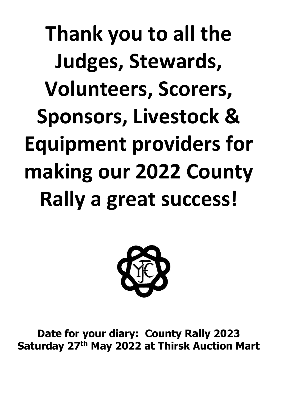**Thank you to all the Judges, Stewards, Volunteers, Scorers, Sponsors, Livestock & Equipment providers for making our 2022 County Rally a great success!**



**Date for your diary: County Rally 2023 Saturday 27th May 2022 at Thirsk Auction Mart**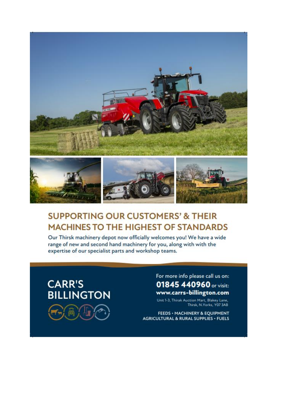

# **SUPPORTING OUR CUSTOMERS' & THEIR MACHINES TO THE HIGHEST OF STANDARDS**

Our Thirsk machinery depot now officially welcomes you! We have a wide range of new and second hand machinery for you, along with with the expertise of our specialist parts and workshop teams.



For more info please call us on: 01845 440960 or visit: www.carrs-billington.com

Unit 1-3, Thirak Auction Mart, Blakey Lane,<br>Thirsk, N.Yorks, Y07 3AB

FEEDS · MACHINERY & EQUIPMENT **AGRICULTURAL & RURAL SUPPLIES · FUELS**